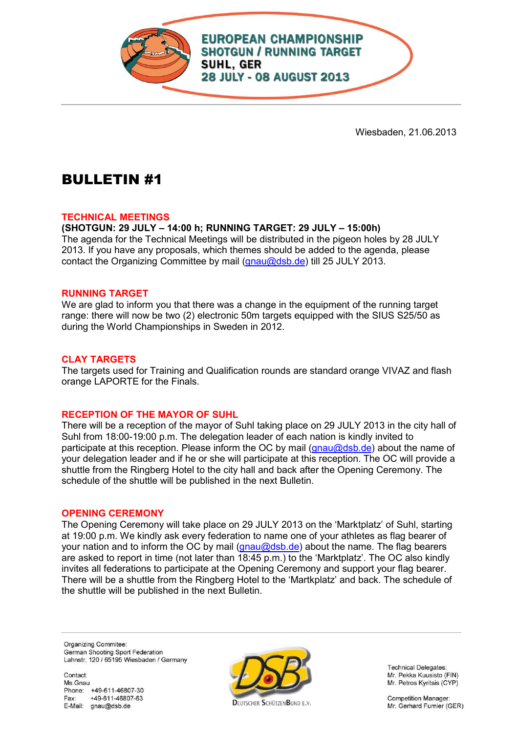

Wiesbaden, 21.06.2013

# BULLETIN #1

## **TECHNICAL MEETINGS**

**(SHOTGUN: 29 JULY – 14:00 h; RUNNING TARGET: 29 JULY – 15:00h)** 

The agenda for the Technical Meetings will be distributed in the pigeon holes by 28 JULY 2013. If you have any proposals, which themes should be added to the agenda, please contact the Organizing Committee by mail (gnau@dsb.de) till 25 JULY 2013.

#### **RUNNING TARGET**

We are glad to inform you that there was a change in the equipment of the running target range: there will now be two (2) electronic 50m targets equipped with the SIUS S25/50 as during the World Championships in Sweden in 2012.

## **CLAY TARGETS**

The targets used for Training and Qualification rounds are standard orange VIVAZ and flash orange LAPORTE for the Finals.

## **RECEPTION OF THE MAYOR OF SUHL**

There will be a reception of the mayor of Suhl taking place on 29 JULY 2013 in the city hall of Suhl from 18:00-19:00 p.m. The delegation leader of each nation is kindly invited to participate at this reception. Please inform the OC by mail (gnau@dsb.de) about the name of your delegation leader and if he or she will participate at this reception. The OC will provide a shuttle from the Ringberg Hotel to the city hall and back after the Opening Ceremony. The schedule of the shuttle will be published in the next Bulletin.

#### **OPENING CEREMONY**

The Opening Ceremony will take place on 29 JULY 2013 on the 'Marktplatz' of Suhl, starting at 19:00 p.m. We kindly ask every federation to name one of your athletes as flag bearer of your nation and to inform the OC by mail (gnau@dsb.de) about the name. The flag bearers are asked to report in time (not later than 18:45 p.m.) to the 'Marktplatz'. The OC also kindly invites all federations to participate at the Opening Ceremony and support your flag bearer. There will be a shuttle from the Ringberg Hotel to the 'Martkplatz' and back. The schedule of the shuttle will be published in the next Bulletin.

Organizing Commitee: German Shooting Sport Federation Lahnstr. 120 / 65195 Wiesbaden / Germany

Contact: Ms Gnau Phone: +49-611-46807-30 Fax: +49-611-46807-63 E-Mail: gnau@dsb.de



Mr. Pekka Kuusisto (FIN) Mr. Petros Kyritsis (CYP)

> **Competition Manager:** Mr. Gerhard Furnier (GER)

**Technical Delegates:** 

**DELITSCHER SCHÜTZENBLIND E.V.**